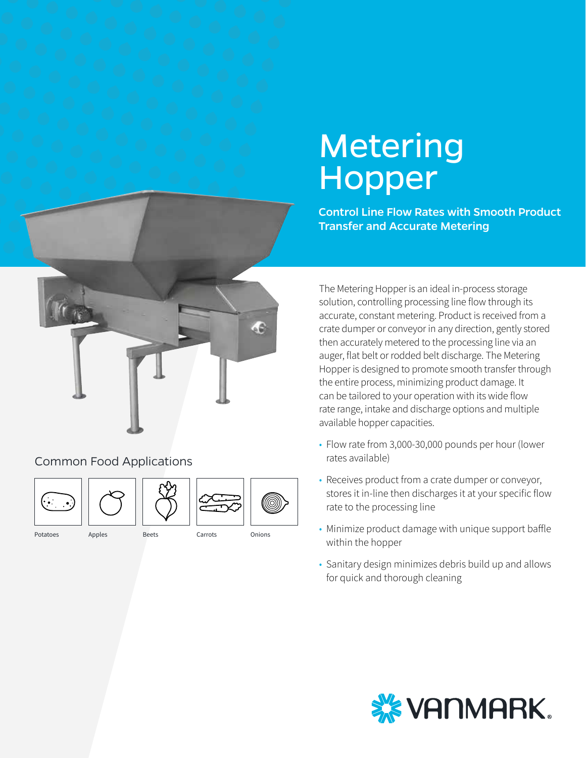# Metering Hopper

Control Line Flow Rates with Smooth Product Transfer and Accurate Metering

The Metering Hopper is an ideal in-process storage solution, controlling processing line flow through its accurate, constant metering. Product is received from a crate dumper or conveyor in any direction, gently stored then accurately metered to the processing line via an auger, flat belt or rodded belt discharge. The Metering Hopper is designed to promote smooth transfer through the entire process, minimizing product damage. It can be tailored to your operation with its wide flow rate range, intake and discharge options and multiple available hopper capacities.

- Flow rate from 3,000-30,000 pounds per hour (lower rates available)
- Receives product from a crate dumper or conveyor, stores it in-line then discharges it at your specific flow rate to the processing line
- Minimize product damage with unique support baffle within the hopper
- Sanitary design minimizes debris build up and allows for quick and thorough cleaning



## Common Food Applications



Potatoes Apples Beets Carrots Onions

á6